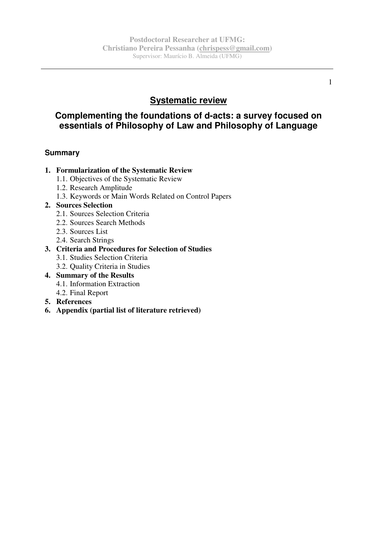# **Systematic review**

# **Complementing the foundations of d-acts: a survey focused on essentials of Philosophy of Law and Philosophy of Language**

## **Summary**

### **1. Formularization of the Systematic Review**

- 1.1. Objectives of the Systematic Review
- 1.2. Research Amplitude
- 1.3. Keywords or Main Words Related on Control Papers

### **2. Sources Selection**

- 2.1. Sources Selection Criteria
- 2.2. Sources Search Methods
- 2.3. Sources List
- 2.4. Search Strings

## **3. Criteria and Procedures for Selection of Studies**

- 3.1. Studies Selection Criteria
- 3.2. Quality Criteria in Studies
- **4. Summary of the Results**  4.1. Information Extraction
	- 4.2. Final Report
- **5. References**
- **6. Appendix (partial list of literature retrieved)**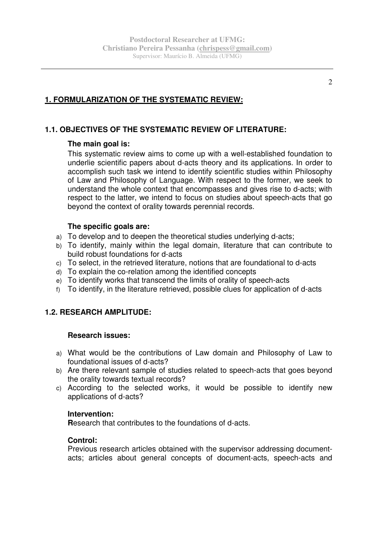## **1. FORMULARIZATION OF THE SYSTEMATIC REVIEW:**

## **1.1. OBJECTIVES OF THE SYSTEMATIC REVIEW OF LITERATURE:**

### **The main goal is:**

This systematic review aims to come up with a well-established foundation to underlie scientific papers about d-acts theory and its applications. In order to accomplish such task we intend to identify scientific studies within Philosophy of Law and Philosophy of Language. With respect to the former, we seek to understand the whole context that encompasses and gives rise to d-acts; with respect to the latter, we intend to focus on studies about speech-acts that go beyond the context of orality towards perennial records.

### **The specific goals are:**

- a) To develop and to deepen the theoretical studies underlying d-acts;
- b) To identify, mainly within the legal domain, literature that can contribute to build robust foundations for d-acts
- c) To select, in the retrieved literature, notions that are foundational to d-acts
- d) To explain the co-relation among the identified concepts
- e) To identify works that transcend the limits of orality of speech-acts
- f) To identify, in the literature retrieved, possible clues for application of d-acts

## **1.2. RESEARCH AMPLITUDE:**

#### **Research issues:**

- a) What would be the contributions of Law domain and Philosophy of Law to foundational issues of d-acts?
- b) Are there relevant sample of studies related to speech-acts that goes beyond the orality towards textual records?
- c) According to the selected works, it would be possible to identify new applications of d-acts?

### **Intervention:**

**R**esearch that contributes to the foundations of d-acts.

#### **Control:**

Previous research articles obtained with the supervisor addressing documentacts; articles about general concepts of document-acts, speech-acts and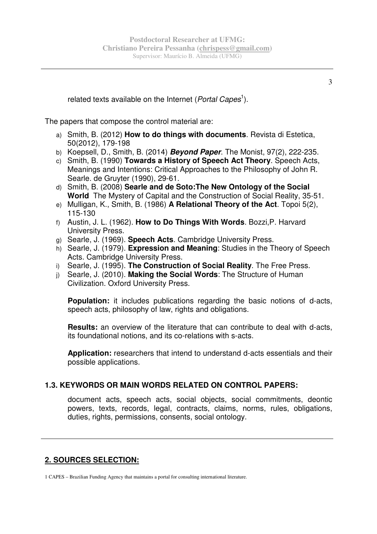related texts available on the Internet (Portal Capes<sup>1</sup>).

The papers that compose the control material are:

- a) Smith, B. (2012) **How to do things with documents**. Revista di Estetica, 50(2012), 179-198
- b) Koepsell, D., Smith, B. (2014) **Beyond Paper**. The Monist, 97(2), 222-235.
- c) Smith, B. (1990) **Towards a History of Speech Act Theory**. Speech Acts, Meanings and Intentions: Critical Approaches to the Philosophy of John R. Searle. de Gruyter (1990), 29-61.
- d) Smith, B. (2008) **Searle and de Soto:The New Ontology of the Social World** The Mystery of Capital and the Construction of Social Reality, 35-51.
- e) Mulligan, K., Smith, B. (1986) **A Relational Theory of the Act**. Topoi 5(2), 115-130
- f) Austin, J. L. (1962). **How to Do Things With Words**. Bozzi,P. Harvard University Press.
- g) Searle, J. (1969). **Speech Acts**. Cambridge University Press.
- h) Searle, J. (1979). **Expression and Meaning**: Studies in the Theory of Speech Acts. Cambridge University Press.
- i) Searle, J. (1995). **The Construction of Social Reality**. The Free Press.
- j) Searle, J. (2010). **Making the Social Words**: The Structure of Human Civilization. Oxford University Press.

**Population:** it includes publications regarding the basic notions of d-acts, speech acts, philosophy of law, rights and obligations.

**Results:** an overview of the literature that can contribute to deal with d-acts, its foundational notions, and its co-relations with s-acts.

**Application:** researchers that intend to understand d-acts essentials and their possible applications.

## **1.3. KEYWORDS OR MAIN WORDS RELATED ON CONTROL PAPERS:**

document acts, speech acts, social objects, social commitments, deontic powers, texts, records, legal, contracts, claims, norms, rules, obligations, duties, rights, permissions, consents, social ontology.

## **2. SOURCES SELECTION:**

1 CAPES – Brazilian Funding Agency that maintains a portal for consulting international literature.

3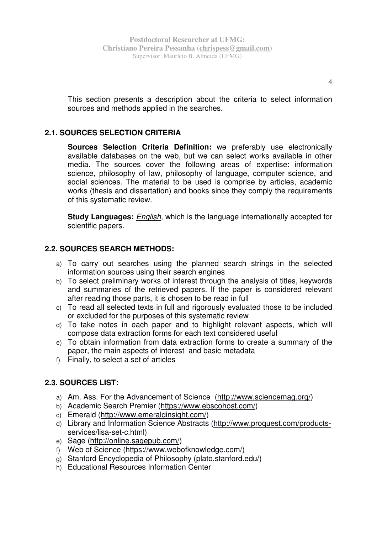This section presents a description about the criteria to select information sources and methods applied in the searches.

## **2.1. SOURCES SELECTION CRITERIA**

**Sources Selection Criteria Definition:** we preferably use electronically available databases on the web, but we can select works available in other media. The sources cover the following areas of expertise: information science, philosophy of law, philosophy of language, computer science, and social sciences. The material to be used is comprise by articles, academic works (thesis and dissertation) and books since they comply the requirements of this systematic review.

**Study Languages:** English, which is the language internationally accepted for scientific papers.

## **2.2. SOURCES SEARCH METHODS:**

- a) To carry out searches using the planned search strings in the selected information sources using their search engines
- b) To select preliminary works of interest through the analysis of titles, keywords and summaries of the retrieved papers. If the paper is considered relevant after reading those parts, it is chosen to be read in full
- c) To read all selected texts in full and rigorously evaluated those to be included or excluded for the purposes of this systematic review
- d) To take notes in each paper and to highlight relevant aspects, which will compose data extraction forms for each text considered useful
- e) To obtain information from data extraction forms to create a summary of the paper, the main aspects of interest and basic metadata
- f) Finally, to select a set of articles

## **2.3. SOURCES LIST:**

- a) Am. Ass. For the Advancement of Science (http://www.sciencemag.org/)
- b) Academic Search Premier (https://www.ebscohost.com/)
- c) Emerald (http://www.emeraldinsight.com/)
- d) Library and Information Science Abstracts (http://www.proquest.com/productsservices/lisa-set-c.html)
- e) Sage (http://online.sagepub.com/)
- f) Web of Science (https://www.webofknowledge.com/)
- g) Stanford Encyclopedia of Philosophy (plato.stanford.edu/)
- h) Educational Resources Information Center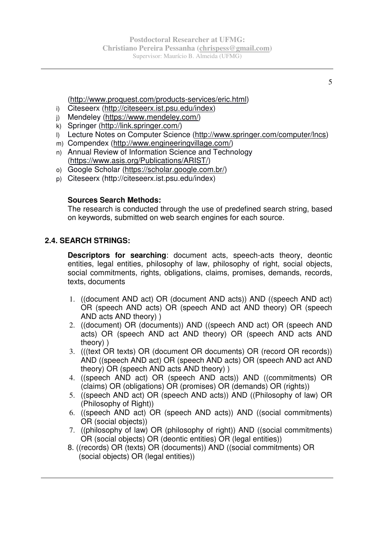## (http://www.proquest.com/products-services/eric.html)

- i) Citeseerx (http://citeseerx.ist.psu.edu/index)
- j) Mendeley (https://www.mendeley.com/)
- k) Springer (http://link.springer.com/)
- l) Lecture Notes on Computer Science (http://www.springer.com/computer/lncs)
- m) Compendex (http://www.engineeringvillage.com/)
- n) Annual Review of Information Science and Technology (https://www.asis.org/Publications/ARIST/)
- o) Google Scholar (https://scholar.google.com.br/)
- p) Citeseerx (http://citeseerx.ist.psu.edu/index)

## **Sources Search Methods:**

The research is conducted through the use of predefined search string, based on keywords, submitted on web search engines for each source.

## **2.4. SEARCH STRINGS:**

**Descriptors for searching**: document acts, speech-acts theory, deontic entities, legal entities, philosophy of law, philosophy of right, social objects, social commitments, rights, obligations, claims, promises, demands, records, texts, documents

- 1. ((document AND act) OR (document AND acts)) AND ((speech AND act) OR (speech AND acts) OR (speech AND act AND theory) OR (speech AND acts AND theory) )
- 2. ((document) OR (documents)) AND ((speech AND act) OR (speech AND acts) OR (speech AND act AND theory) OR (speech AND acts AND theory) )
- 3. (((text OR texts) OR (document OR documents) OR (record OR records)) AND ((speech AND act) OR (speech AND acts) OR (speech AND act AND theory) OR (speech AND acts AND theory) )
- 4. ((speech AND act) OR (speech AND acts)) AND ((commitments) OR (claims) OR (obligations) OR (promises) OR (demands) OR (rights))
- 5. ((speech AND act) OR (speech AND acts)) AND ((Philosophy of law) OR (Philosophy of Right))
- 6. ((speech AND act) OR (speech AND acts)) AND ((social commitments) OR (social objects))
- 7. ((philosophy of law) OR (philosophy of right)) AND ((social commitments) OR (social objects) OR (deontic entities) OR (legal entities))
- 8. ((records) OR (texts) OR (documents)) AND ((social commitments) OR (social objects) OR (legal entities))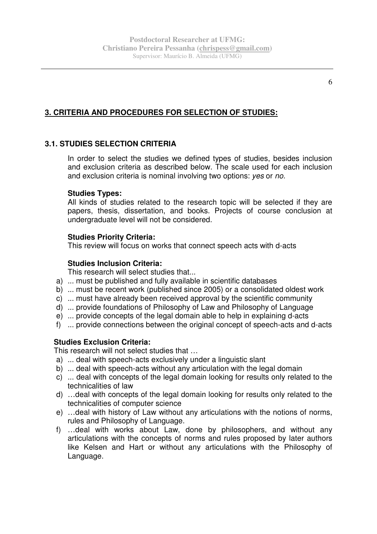# **3. CRITERIA AND PROCEDURES FOR SELECTION OF STUDIES:**

## **3.1. STUDIES SELECTION CRITERIA**

In order to select the studies we defined types of studies, besides inclusion and exclusion criteria as described below. The scale used for each inclusion and exclusion criteria is nominal involving two options: yes or no.

## **Studies Types:**

All kinds of studies related to the research topic will be selected if they are papers, thesis, dissertation, and books. Projects of course conclusion at undergraduate level will not be considered.

## **Studies Priority Criteria:**

This review will focus on works that connect speech acts with d-acts

## **Studies Inclusion Criteria:**

This research will select studies that...

- a) ... must be published and fully available in scientific databases
- b) ... must be recent work (published since 2005) or a consolidated oldest work
- c) ... must have already been received approval by the scientific community
- d) ... provide foundations of Philosophy of Law and Philosophy of Language
- e) ... provide concepts of the legal domain able to help in explaining d-acts
- f) ... provide connections between the original concept of speech-acts and d-acts

## **Studies Exclusion Criteria:**

This research will not select studies that …

- a) ... deal with speech-acts exclusively under a linguistic slant
- b) ... deal with speech-acts without any articulation with the legal domain
- c) ... deal with concepts of the legal domain looking for results only related to the technicalities of law
- d) …deal with concepts of the legal domain looking for results only related to the technicalities of computer science
- e) …deal with history of Law without any articulations with the notions of norms, rules and Philosophy of Language.
- f) …deal with works about Law, done by philosophers, and without any articulations with the concepts of norms and rules proposed by later authors like Kelsen and Hart or without any articulations with the Philosophy of Language.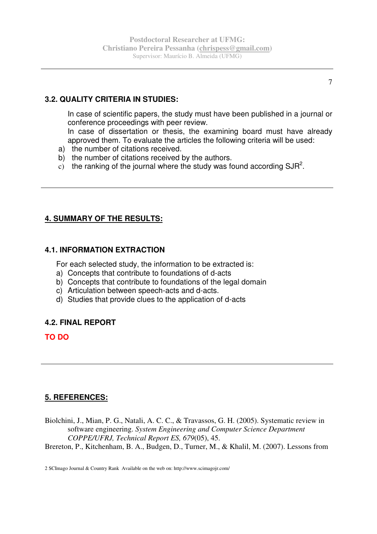## **3.2. QUALITY CRITERIA IN STUDIES:**

In case of scientific papers, the study must have been published in a journal or conference proceedings with peer review.

In case of dissertation or thesis, the examining board must have already approved them. To evaluate the articles the following criteria will be used:

- a) the number of citations received.
- b) the number of citations received by the authors.
- c) the ranking of the journal where the study was found according SJR<sup>2</sup>.

## **4. SUMMARY OF THE RESULTS:**

### **4.1. INFORMATION EXTRACTION**

For each selected study, the information to be extracted is:

- a) Concepts that contribute to foundations of d-acts
- b) Concepts that contribute to foundations of the legal domain
- c) Articulation between speech-acts and d-acts.
- d) Studies that provide clues to the application of d-acts

### **4.2. FINAL REPORT**

**TO DO** 

## **5. REFERENCES:**

Biolchini, J., Mian, P. G., Natali, A. C. C., & Travassos, G. H. (2005). Systematic review in software engineering. *System Engineering and Computer Science Department COPPE/UFRJ, Technical Report ES, 679*(05), 45.

Brereton, P., Kitchenham, B. A., Budgen, D., Turner, M., & Khalil, M. (2007). Lessons from

2 SCImago Journal & Country Rank Available on the web on: http://www.scimagojr.com/

7